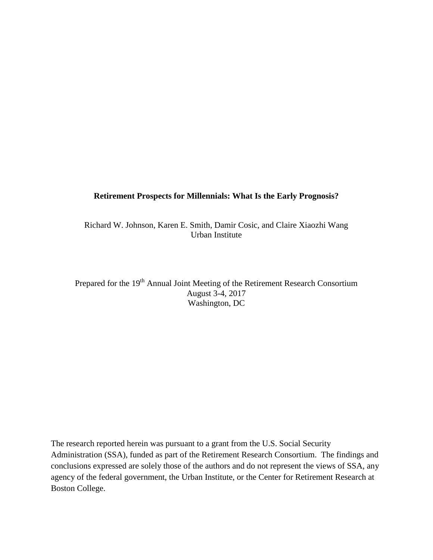## **Retirement Prospects for Millennials: What Is the Early Prognosis?**

Richard W. Johnson, Karen E. Smith, Damir Cosic, and Claire Xiaozhi Wang Urban Institute

Prepared for the 19<sup>th</sup> Annual Joint Meeting of the Retirement Research Consortium August 3-4, 2017 Washington, DC

The research reported herein was pursuant to a grant from the U.S. Social Security Administration (SSA), funded as part of the Retirement Research Consortium. The findings and conclusions expressed are solely those of the authors and do not represent the views of SSA, any agency of the federal government, the Urban Institute, or the Center for Retirement Research at Boston College.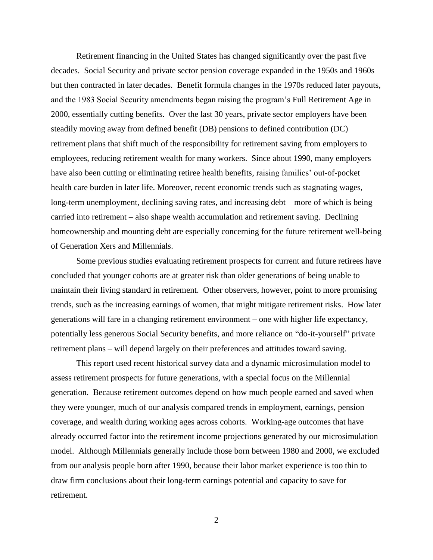Retirement financing in the United States has changed significantly over the past five decades. Social Security and private sector pension coverage expanded in the 1950s and 1960s but then contracted in later decades. Benefit formula changes in the 1970s reduced later payouts, and the 1983 Social Security amendments began raising the program's Full Retirement Age in 2000, essentially cutting benefits. Over the last 30 years, private sector employers have been steadily moving away from defined benefit (DB) pensions to defined contribution (DC) retirement plans that shift much of the responsibility for retirement saving from employers to employees, reducing retirement wealth for many workers. Since about 1990, many employers have also been cutting or eliminating retiree health benefits, raising families' out-of-pocket health care burden in later life. Moreover, recent economic trends such as stagnating wages, long-term unemployment, declining saving rates, and increasing debt – more of which is being carried into retirement – also shape wealth accumulation and retirement saving. Declining homeownership and mounting debt are especially concerning for the future retirement well-being of Generation Xers and Millennials.

Some previous studies evaluating retirement prospects for current and future retirees have concluded that younger cohorts are at greater risk than older generations of being unable to maintain their living standard in retirement. Other observers, however, point to more promising trends, such as the increasing earnings of women, that might mitigate retirement risks. How later generations will fare in a changing retirement environment – one with higher life expectancy, potentially less generous Social Security benefits, and more reliance on "do-it-yourself" private retirement plans – will depend largely on their preferences and attitudes toward saving.

This report used recent historical survey data and a dynamic microsimulation model to assess retirement prospects for future generations, with a special focus on the Millennial generation. Because retirement outcomes depend on how much people earned and saved when they were younger, much of our analysis compared trends in employment, earnings, pension coverage, and wealth during working ages across cohorts. Working-age outcomes that have already occurred factor into the retirement income projections generated by our microsimulation model. Although Millennials generally include those born between 1980 and 2000, we excluded from our analysis people born after 1990, because their labor market experience is too thin to draw firm conclusions about their long-term earnings potential and capacity to save for retirement.

2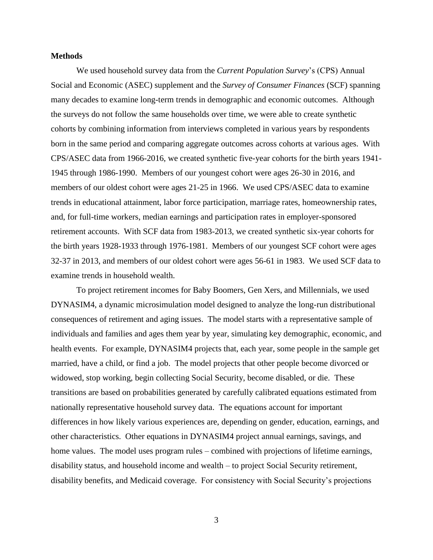## **Methods**

We used household survey data from the *Current Population Survey*'s (CPS) Annual Social and Economic (ASEC) supplement and the *Survey of Consumer Finances* (SCF) spanning many decades to examine long-term trends in demographic and economic outcomes. Although the surveys do not follow the same households over time, we were able to create synthetic cohorts by combining information from interviews completed in various years by respondents born in the same period and comparing aggregate outcomes across cohorts at various ages. With CPS/ASEC data from 1966-2016, we created synthetic five-year cohorts for the birth years 1941- 1945 through 1986-1990. Members of our youngest cohort were ages 26-30 in 2016, and members of our oldest cohort were ages 21-25 in 1966. We used CPS/ASEC data to examine trends in educational attainment, labor force participation, marriage rates, homeownership rates, and, for full-time workers, median earnings and participation rates in employer-sponsored retirement accounts. With SCF data from 1983-2013, we created synthetic six-year cohorts for the birth years 1928-1933 through 1976-1981. Members of our youngest SCF cohort were ages 32-37 in 2013, and members of our oldest cohort were ages 56-61 in 1983. We used SCF data to examine trends in household wealth.

To project retirement incomes for Baby Boomers, Gen Xers, and Millennials, we used DYNASIM4, a dynamic microsimulation model designed to analyze the long-run distributional consequences of retirement and aging issues. The model starts with a representative sample of individuals and families and ages them year by year, simulating key demographic, economic, and health events. For example, DYNASIM4 projects that, each year, some people in the sample get married, have a child, or find a job. The model projects that other people become divorced or widowed, stop working, begin collecting Social Security, become disabled, or die. These transitions are based on probabilities generated by carefully calibrated equations estimated from nationally representative household survey data. The equations account for important differences in how likely various experiences are, depending on gender, education, earnings, and other characteristics. Other equations in DYNASIM4 project annual earnings, savings, and home values. The model uses program rules – combined with projections of lifetime earnings, disability status, and household income and wealth – to project Social Security retirement, disability benefits, and Medicaid coverage. For consistency with Social Security's projections

3